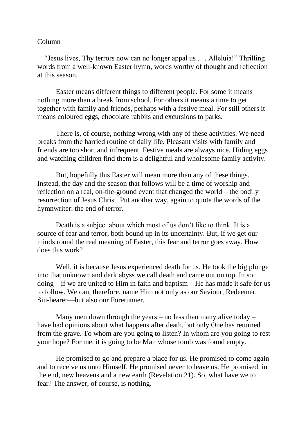## Column

 "Jesus lives, Thy terrors now can no longer appal us . . . Alleluia!" Thrilling words from a well-known Easter hymn, words worthy of thought and reflection at this season.

Easter means different things to different people. For some it means nothing more than a break from school. For others it means a time to get together with family and friends, perhaps with a festive meal. For still others it means coloured eggs, chocolate rabbits and excursions to parks.

There is, of course, nothing wrong with any of these activities. We need breaks from the harried routine of daily life. Pleasant visits with family and friends are too short and infrequent. Festive meals are always nice. Hiding eggs and watching children find them is a delightful and wholesome family activity.

But, hopefully this Easter will mean more than any of these things. Instead, the day and the season that follows will be a time of worship and reflection on a real, on-the-ground event that changed the world – the bodily resurrection of Jesus Christ. Put another way, again to quote the words of the hymnwriter: the end of terror.

Death is a subject about which most of us don't like to think. It is a source of fear and terror, both bound up in its uncertainty. But, if we get our minds round the real meaning of Easter, this fear and terror goes away. How does this work?

Well, it is because Jesus experienced death for us. He took the big plunge into that unknown and dark abyss we call death and came out on top. In so doing – if we are united to Him in faith and baptism – He has made it safe for us to follow. We can, therefore, name Him not only as our Saviour, Redeemer, Sin-bearer—but also our Forerunner.

Many men down through the years – no less than many alive today – have had opinions about what happens after death, but only One has returned from the grave. To whom are you going to listen? In whom are you going to rest your hope? For me, it is going to be Man whose tomb was found empty.

He promised to go and prepare a place for us. He promised to come again and to receive us unto Himself. He promised never to leave us. He promised, in the end, new heavens and a new earth (Revelation 21). So, what have we to fear? The answer, of course, is nothing.